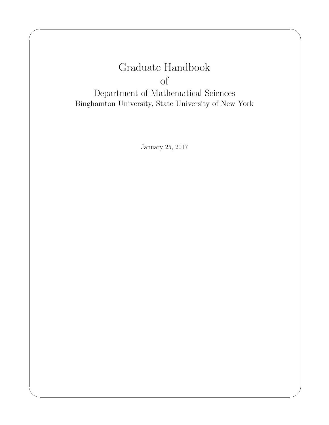# Graduate Handbook of

✬

✫

Department of Mathematical Sciences Binghamton University, State University of New York

January 25, 2017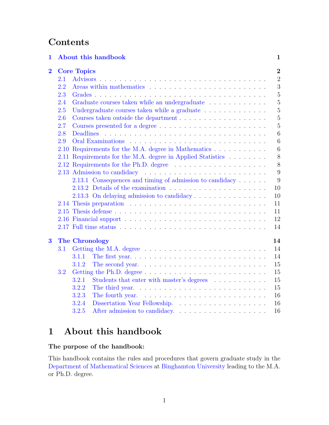# **Contents**

| 1              |      | About this handbook                                         | $\mathbf{1}$   |
|----------------|------|-------------------------------------------------------------|----------------|
| $\overline{2}$ |      | <b>Core Topics</b>                                          | $\overline{2}$ |
|                | 2.1  | <b>Advisors</b>                                             | $\overline{2}$ |
|                | 2.2  |                                                             | 3              |
|                | 2.3  |                                                             | $\overline{5}$ |
|                | 2.4  | Graduate courses taken while an undergraduate               | $\overline{5}$ |
|                | 2.5  | Undergraduate courses taken while a graduate                | $\overline{5}$ |
|                | 2.6  | Courses taken outside the department                        | $\overline{5}$ |
|                | 2.7  |                                                             | 5              |
|                | 2.8  | <b>Deadlines</b>                                            | 6              |
|                | 2.9  |                                                             | 6              |
|                | 2.10 | Requirements for the M.A. degree in Mathematics             | 6              |
|                |      | 2.11 Requirements for the M.A. degree in Applied Statistics | 8              |
|                |      |                                                             | 8              |
|                |      |                                                             | 9              |
|                |      | 2.13.1 Consequences and timing of admission to candidacy    | 9              |
|                |      |                                                             | 10             |
|                |      | 2.13.3 On delaying admission to candidacy                   | 10             |
|                |      |                                                             | 11             |
|                |      |                                                             | 11             |
|                |      |                                                             | 12             |
|                |      |                                                             | 14             |
|                |      |                                                             |                |
| $\bf{3}$       |      | <b>The Chronology</b>                                       | 14             |
|                | 3.1  |                                                             | 14             |
|                |      | 3.1.1                                                       | 14             |
|                |      | 3.1.2                                                       | 15             |
|                | 3.2  |                                                             | 15             |
|                |      | 3.2.1<br>Students that enter with master's degrees          | 15             |
|                |      | 3.2.2                                                       | 15             |
|                |      | 3.2.3                                                       | 16             |
|                |      | 3.2.4                                                       | 16             |
|                |      | 3.2.5                                                       | 16             |

# <span id="page-1-0"></span>1 About this handbook

# The purpose of the handbook:

This handbook contains the rules and procedures that govern graduate study in the [Department of Mathematical Sciences](http://www.math.binghamton.edu) at [Binghamton University](http://www.binghamton.edu) leading to the M.A. or Ph.D. degree.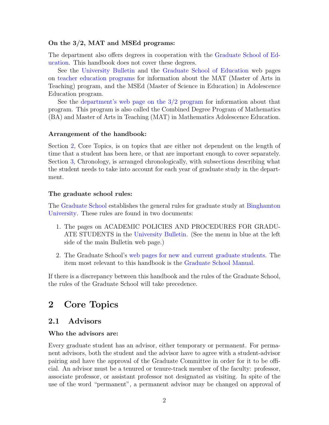#### On the 3/2, MAT and MSEd programs:

The department also offers degrees in cooperation with the [Graduate School of Ed](http://www.binghamton.edu/gse/)[ucation.](http://www.binghamton.edu/gse/) This handbook does not cover these degrees.

See the [University Bulletin](http://bulletin.binghamton.edu) and the [Graduate School of Education](http://www.binghamton.edu/gse/) web pages on [teacher education programs](http://www.binghamton.edu/gse/teacher-education/) for information about the MAT (Master of Arts in Teaching) program, and the MSEd (Master of Science in Education) in Adolescence Education program.

See the department's web page on the  $3/2$  program for information about that program. This program is also called the Combined Degree Program of Mathematics (BA) and Master of Arts in Teaching (MAT) in Mathematics Adolescence Education.

#### Arrangement of the handbook:

Section [2,](#page-2-0) Core Topics, is on topics that are either not dependent on the length of time that a student has been here, or that are important enough to cover separately. Section [3,](#page-14-1) Chronology, is arranged chronologically, with subsections describing what the student needs to take into account for each year of graduate study in the department.

#### The graduate school rules:

The [Graduate School](http://www.binghamton.edu/grad-school/) establishes the general rules for graduate study at [Binghamton](http://www.binghamton.edu) [University.](http://www.binghamton.edu) These rules are found in two documents:

- 1. The pages on ACADEMIC POLICIES AND PROCEDURES FOR GRADU-ATE STUDENTS in the [University Bulletin.](http://bulletin.binghamton.edu) (See the menu in blue at the left side of the main Bulletin web page.)
- 2. The Graduate School's [web pages for new and current graduate students.](http://www2.binghamton.edu/grad-school/new-and-current-students/index.html) The item most relevant to this handbook is the [Graduate School Manual.](http://www2.binghamton.edu/grad-school/manual/index.html)

If there is a discrepancy between this handbook and the rules of the Graduate School, the rules of the Graduate School will take precedence.

# <span id="page-2-0"></span>2 Core Topics

# <span id="page-2-1"></span>2.1 Advisors

#### Who the advisors are:

Every graduate student has an advisor, either temporary or permanent. For permanent advisors, both the student and the advisor have to agree with a student-advisor pairing and have the approval of the Graduate Committee in order for it to be official. An advisor must be a tenured or tenure-track member of the faculty: professor, associate professor, or assistant professor not designated as visiting. In spite of the use of the word "permanent", a permanent advisor may be changed on approval of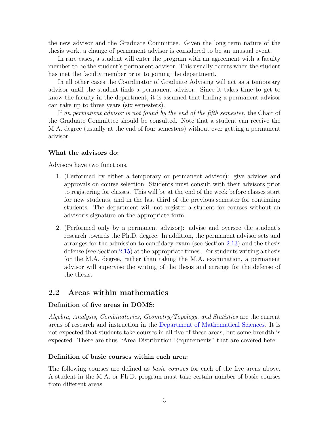the new advisor and the Graduate Committee. Given the long term nature of the thesis work, a change of permanent advisor is considered to be an unusual event.

In rare cases, a student will enter the program with an agreement with a faculty member to be the student's permanent advisor. This usually occurs when the student has met the faculty member prior to joining the department.

In all other cases the Coordinator of Graduate Advising will act as a temporary advisor until the student finds a permanent advisor. Since it takes time to get to know the faculty in the department, it is assumed that finding a permanent advisor can take up to three years (six semesters).

If an permanent advisor is not found by the end of the fifth semester, the Chair of the Graduate Committee should be consulted. Note that a student can receive the M.A. degree (usually at the end of four semesters) without ever getting a permanent advisor.

#### What the advisors do:

Advisors have two functions.

- 1. (Performed by either a temporary or permanent advisor): give advices and approvals on course selection. Students must consult with their advisors prior to registering for classes. This will be at the end of the week before classes start for new students, and in the last third of the previous semester for continuing students. The department will not register a student for courses without an advisor's signature on the appropriate form.
- 2. (Performed only by a permanent advisor): advise and oversee the student's research towards the Ph.D. degree. In addition, the permanent advisor sets and arranges for the admission to candidacy exam (see Section [2.13\)](#page-9-0) and the thesis defense (see Section [2.15\)](#page-11-1) at the appropriate times. For students writing a thesis for the M.A. degree, rather than taking the M.A. examination, a permanent advisor will supervise the writing of the thesis and arrange for the defense of the thesis.

# <span id="page-3-0"></span>2.2 Areas within mathematics

#### Definition of five areas in DOMS:

Algebra, Analysis, Combinatorics, Geometry/Topology, and Statistics are the current areas of research and instruction in the [Department of Mathematical Sciences.](http://www.math.binghamton.edu) It is not expected that students take courses in all five of these areas, but some breadth is expected. There are thus "Area Distribution Requirements" that are covered here.

#### Definition of basic courses within each area:

The following courses are defined as *basic courses* for each of the five areas above. A student in the M.A. or Ph.D. program must take certain number of basic courses from different areas.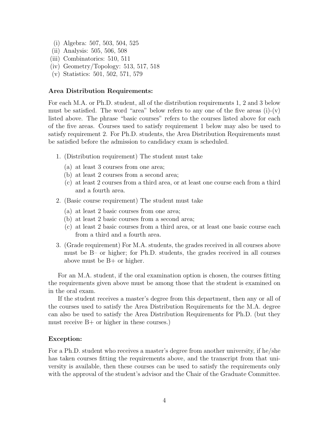- (i) Algebra: 507, 503, 504, 525
- (ii) Analysis: 505, 506, 508
- (iii) Combinatorics: 510, 511
- (iv) Geometry/Topology: 513, 517, 518
- (v) Statistics: 501, 502, 571, 579

#### Area Distribution Requirements:

For each M.A. or Ph.D. student, all of the distribution requirements 1, 2 and 3 below must be satisfied. The word "area" below refers to any one of the five areas  $(i)-(v)$ listed above. The phrase "basic courses" refers to the courses listed above for each of the five areas. Courses used to satisfy requirement 1 below may also be used to satisfy requirement 2. For Ph.D. students, the Area Distribution Requirements must be satisfied before the admission to candidacy exam is scheduled.

- 1. (Distribution requirement) The student must take
	- (a) at least 3 courses from one area;
	- (b) at least 2 courses from a second area;
	- (c) at least 2 courses from a third area, or at least one course each from a third and a fourth area.
- 2. (Basic course requirement) The student must take
	- (a) at least 2 basic courses from one area;
	- (b) at least 2 basic courses from a second area;
	- (c) at least 2 basic courses from a third area, or at least one basic course each from a third and a fourth area.
- 3. (Grade requirement) For M.A. students, the grades received in all courses above must be B– or higher; for Ph.D. students, the grades received in all courses above must be B+ or higher.

For an M.A. student, if the oral examination option is chosen, the courses fitting the requirements given above must be among those that the student is examined on in the oral exam.

If the student receives a master's degree from this department, then any or all of the courses used to satisfy the Area Distribution Requirements for the M.A. degree can also be used to satisfy the Area Distribution Requirements for Ph.D. (but they must receive B+ or higher in these courses.)

#### Exception:

For a Ph.D. student who receives a master's degree from another university, if he/she has taken courses fitting the requirements above, and the transcript from that university is available, then these courses can be used to satisfy the requirements only with the approval of the student's advisor and the Chair of the Graduate Committee.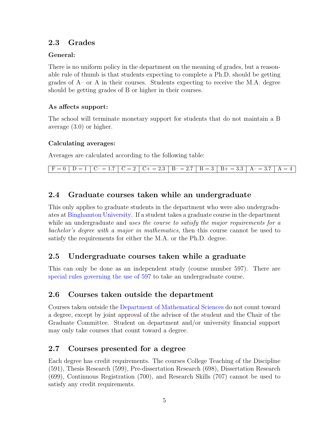# <span id="page-5-0"></span>2.3 Grades

# General:

There is no uniform policy in the department on the meaning of grades, but a reasonable rule of thumb is that students expecting to complete a Ph.D. should be getting grades of A– or A in their courses. Students expecting to receive the M.A. degree should be getting grades of B or higher in their courses.

# As affects support:

The school will terminate monetary support for students that do not maintain a B average (3.0) or higher.

# Calculating averages:

Averages are calculated according to the following table:

 $F = 0$  D = 1 C – 1.7 C = 2 C + = 2.3 B – 2.7 B = 3 B + = 3.3 A – = 3.7 A = 4

# <span id="page-5-1"></span>2.4 Graduate courses taken while an undergraduate

This only applies to graduate students in the department who were also undergraduates at [Binghamton University.](http://www.binghamton.edu) If a student takes a graduate course in the department while an undergraduate and uses the course to satisfy the major requirements for a bachelor's degree with a major in mathematics, then this course cannot be used to satisfy the requirements for either the M.A. or the Ph.D. degree.

# <span id="page-5-2"></span>2.5 Undergraduate courses taken while a graduate

This can only be done as an independent study (course number 597). There are [special rules governing the use of 597](http://www.math.binghamton.edu/dept/grad/GraduateHandbook/math-597.html) to take an undergraduate course.

# <span id="page-5-3"></span>2.6 Courses taken outside the department

Courses taken outside the [Department of Mathematical Sciences](http://www.math.binghamton.edu) do not count toward a degree, except by joint approval of the advisor of the student and the Chair of the Graduate Committee. Student on department and/or university financial support may only take courses that count toward a degree.

# <span id="page-5-4"></span>2.7 Courses presented for a degree

Each degree has credit requirements. The courses College Teaching of the Discipline (591), Thesis Research (599), Pre-dissertation Research (698), Dissertation Research (699), Continuous Registration (700), and Research Skills (707) cannot be used to satisfy any credit requirements.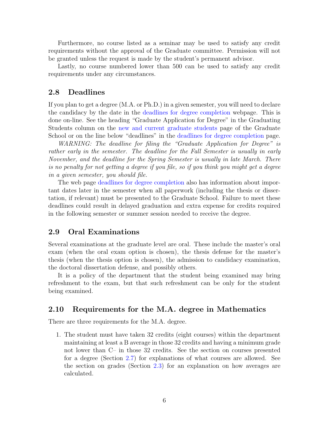Furthermore, no course listed as a seminar may be used to satisfy any credit requirements without the approval of the Graduate committee. Permission will not be granted unless the request is made by the student's permanent advisor.

Lastly, no course numbered lower than 500 can be used to satisfy any credit requirements under any circumstances.

### <span id="page-6-0"></span>2.8 Deadlines

If you plan to get a degree (M.A. or Ph.D.) in a given semester, you will need to declare the candidacy by the date in the [deadlines for degree completion](http://www2.binghamton.edu/grad-school/new-and-current-students/graduating-students/index.html) webpage. This is done on-line. See the heading "Graduate Application for Degree" in the Graduating Students column on the [new and current graduate students](http://www2.binghamton.edu/grad-school/new-and-current-students/index.html) page of the Graduate School or on the line below "deadlines" in the [deadlines for degree completion](http://www2.binghamton.edu/grad-school/new-and-current-students/graduating-students/index.html) page.

WARNING: The deadline for filing the "Graduate Application for Degree" is rather early in the semester. The deadline for the Fall Semester is usually in early November, and the deadline for the Spring Semester is usually in late March. There is no penalty for not getting a degree if you file, so if you think you might get a degree in a given semester, you should file.

The web page [deadlines for degree completion](http://www2.binghamton.edu/grad-school/new-and-current-students/graduating-students/index.html) also has information about important dates later in the semester when all paperwork (including the thesis or dissertation, if relevant) must be presented to the Graduate School. Failure to meet these deadlines could result in delayed graduation and extra expense for credits required in the following semester or summer session needed to receive the degree.

### <span id="page-6-1"></span>2.9 Oral Examinations

Several examinations at the graduate level are oral. These include the master's oral exam (when the oral exam option is chosen), the thesis defense for the master's thesis (when the thesis option is chosen), the admission to candidacy examination, the doctoral dissertation defense, and possibly others.

It is a policy of the department that the student being examined may bring refreshment to the exam, but that such refreshment can be only for the student being examined.

### <span id="page-6-2"></span>2.10 Requirements for the M.A. degree in Mathematics

There are three requirements for the M.A. degree.

1. The student must have taken 32 credits (eight courses) within the department maintaining at least a B average in those 32 credits and having a minimum grade not lower than C– in those 32 credits. See the section on courses presented for a degree (Section [2.7\)](#page-5-4) for explanations of what courses are allowed. See the section on grades (Section [2.3\)](#page-5-0) for an explanation on how averages are calculated.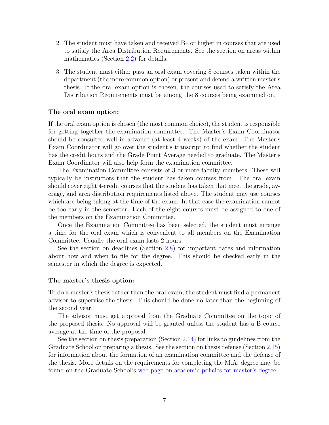- 2. The student must have taken and received B– or higher in courses that are used to satisfy the Area Distribution Requirements. See the section on areas within mathematics (Section [2.2\)](#page-3-0) for details.
- 3. The student must either pass an oral exam covering 8 courses taken within the department (the more common option) or present and defend a written master's thesis. If the oral exam option is chosen, the courses used to satisfy the Area Distribution Requirements must be among the 8 courses being examined on.

#### The oral exam option:

If the oral exam option is chosen (the most common choice), the student is responsible for getting together the examination committee. The Master's Exam Coordinator should be consulted well in advance (at least 4 weeks) of the exam. The Master's Exam Coordinator will go over the student's transcript to find whether the student has the credit hours and the Grade Point Average needed to graduate. The Master's Exam Coordinator will also help form the examination committee.

The Examination Committee consists of 3 or more faculty members. These will typically be instructors that the student has taken courses from. The oral exam should cover eight 4-credit courses that the student has taken that meet the grade, average, and area distribution requirements listed above. The student may use courses which are being taking at the time of the exam. In that case the examination cannot be too early in the semester. Each of the eight courses must be assigned to one of the members on the Examination Committee.

Once the Examination Committee has been selected, the student must arrange a time for the oral exam which is convenient to all members on the Examination Committee. Usually the oral exam lasts 2 hours.

See the section on deadlines (Section [2.8\)](#page-6-0) for important dates and information about how and when to file for the degree. This should be checked early in the semester in which the degree is expected.

#### The master's thesis option:

To do a master's thesis rather than the oral exam, the student must find a permanent advisor to supervise the thesis. This should be done no later than the beginning of the second year.

The advisor must get approval from the Graduate Committee on the topic of the proposed thesis. No approval will be granted unless the student has a B course average at the time of the proposal.

See the section on thesis preparation (Section [2.14\)](#page-11-0) for links to guidelines from the Graduate School on preparing a thesis. See the section on thesis defense (Section [2.15\)](#page-11-1) for information about the formation of an examination committee and the defense of the thesis. More details on the requirements for completing the M.A. degree may be found on the Graduate School's [web page on academic policies for master's degree.](http://www2.binghamton.edu/grad-school/manual/policies-masters.html)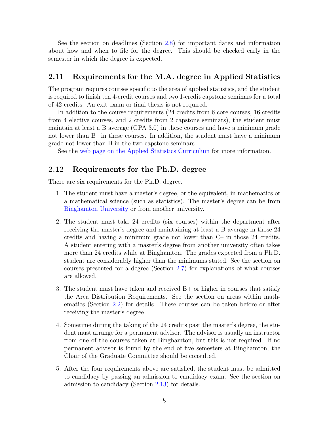See the section on deadlines (Section [2.8\)](#page-6-0) for important dates and information about how and when to file for the degree. This should be checked early in the semester in which the degree is expected.

### <span id="page-8-0"></span>2.11 Requirements for the M.A. degree in Applied Statistics

The program requires courses specific to the area of applied statistics, and the student is required to finish ten 4-credit courses and two 1-credit capstone seminars for a total of 42 credits. An exit exam or final thesis is not required.

In addition to the course requirements (24 credits from 6 core courses, 16 credits from 4 elective courses, and 2 credits from 2 capstone seminars), the student must maintain at least a B average (GPA 3.0) in these courses and have a minimum grade not lower than B– in these courses. In addition, the student must have a minimum grade not lower than B in the two capstone seminars.

See the [web page on the Applied Statistics Curriculum](http://www.binghamton.edu/math/mas/curriculum.html) for more information.

### <span id="page-8-1"></span>2.12 Requirements for the Ph.D. degree

There are six requirements for the Ph.D. degree.

- 1. The student must have a master's degree, or the equivalent, in mathematics or a mathematical science (such as statistics). The master's degree can be from [Binghamton University](http://www.binghamton.edu) or from another university.
- 2. The student must take 24 credits (six courses) within the department after receiving the master's degree and maintaining at least a B average in those 24 credits and having a minimum grade not lower than C– in those 24 credits. A student entering with a master's degree from another university often takes more than 24 credits while at Binghamton. The grades expected from a Ph.D. student are considerably higher than the minimums stated. See the section on courses presented for a degree (Section [2.7\)](#page-5-4) for explanations of what courses are allowed.
- 3. The student must have taken and received  $B+$  or higher in courses that satisfy the Area Distribution Requirements. See the section on areas within mathematics (Section [2.2\)](#page-3-0) for details. These courses can be taken before or after receiving the master's degree.
- 4. Sometime during the taking of the 24 credits past the master's degree, the student must arrange for a permanent advisor. The advisor is usually an instructor from one of the courses taken at Binghamton, but this is not required. If no permanent advisor is found by the end of five semesters at Binghamton, the Chair of the Graduate Committee should be consulted.
- 5. After the four requirements above are satisfied, the student must be admitted to candidacy by passing an admission to candidacy exam. See the section on admission to candidacy (Section [2.13\)](#page-9-0) for details.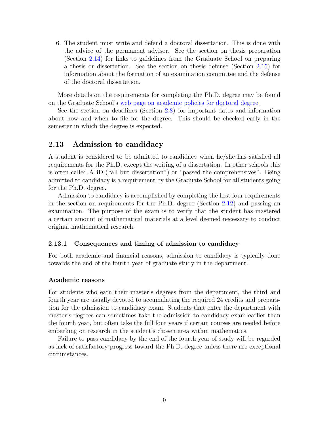6. The student must write and defend a doctoral dissertation. This is done with the advice of the permanent advisor. See the section on thesis preparation (Section [2.14\)](#page-11-0) for links to guidelines from the Graduate School on preparing a thesis or dissertation. See the section on thesis defense (Section [2.15\)](#page-11-1) for information about the formation of an examination committee and the defense of the doctoral dissertation.

More details on the requirements for completing the Ph.D. degree may be found on the Graduate School's [web page on academic policies for doctoral degree.](http://www2.binghamton.edu/grad-school/manual/policies-doctoral.html)

See the section on deadlines (Section [2.8\)](#page-6-0) for important dates and information about how and when to file for the degree. This should be checked early in the semester in which the degree is expected.

### <span id="page-9-0"></span>2.13 Admission to candidacy

A student is considered to be admitted to candidacy when he/she has satisfied all requirements for the Ph.D. except the writing of a dissertation. In other schools this is often called ABD ("all but dissertation") or "passed the comprehensives". Being admitted to candidacy is a requirement by the Graduate School for all students going for the Ph.D. degree.

Admission to candidacy is accomplished by completing the first four requirements in the section on requirements for the Ph.D. degree (Section [2.12\)](#page-8-1) and passing an examination. The purpose of the exam is to verify that the student has mastered a certain amount of mathematical materials at a level deemed necessary to conduct original mathematical research.

#### <span id="page-9-1"></span>2.13.1 Consequences and timing of admission to candidacy

For both academic and financial reasons, admission to candidacy is typically done towards the end of the fourth year of graduate study in the department.

#### <span id="page-9-2"></span>Academic reasons

For students who earn their master's degrees from the department, the third and fourth year are usually devoted to accumulating the required 24 credits and preparation for the admission to candidacy exam. Students that enter the department with master's degrees can sometimes take the admission to candidacy exam earlier than the fourth year, but often take the full four years if certain courses are needed before embarking on research in the student's chosen area within mathematics.

Failure to pass candidacy by the end of the fourth year of study will be regarded as lack of satisfactory progress toward the Ph.D. degree unless there are exceptional circumstances.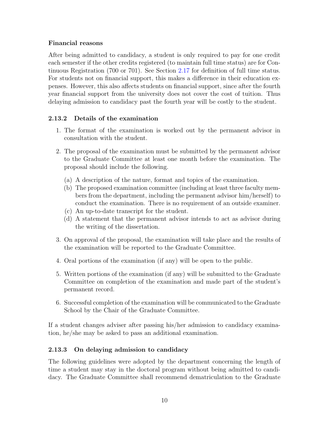# Financial reasons

After being admitted to candidacy, a student is only required to pay for one credit each semester if the other credits registered (to maintain full time status) are for Continuous Registration (700 or 701). See Section [2.17](#page-14-0) for definition of full time status. For students not on financial support, this makes a difference in their education expenses. However, this also affects students on financial support, since after the fourth year financial support from the university does not cover the cost of tuition. Thus delaying admission to candidacy past the fourth year will be costly to the student.

# <span id="page-10-0"></span>2.13.2 Details of the examination

- 1. The format of the examination is worked out by the permanent advisor in consultation with the student.
- 2. The proposal of the examination must be submitted by the permanent advisor to the Graduate Committee at least one month before the examination. The proposal should include the following.
	- (a) A description of the nature, format and topics of the examination.
	- (b) The proposed examination committee (including at least three faculty members from the department, including the permanent advisor him/herself) to conduct the examination. There is no requirement of an outside examiner.
	- (c) An up-to-date transcript for the student.
	- (d) A statement that the permanent advisor intends to act as advisor during the writing of the dissertation.
- 3. On approval of the proposal, the examination will take place and the results of the examination will be reported to the Graduate Committee.
- 4. Oral portions of the examination (if any) will be open to the public.
- 5. Written portions of the examination (if any) will be submitted to the Graduate Committee on completion of the examination and made part of the student's permanent record.
- 6. Successful completion of the examination will be communicated to the Graduate School by the Chair of the Graduate Committee.

If a student changes adviser after passing his/her admission to candidacy examination, he/she may be asked to pass an additional examination.

# <span id="page-10-1"></span>2.13.3 On delaying admission to candidacy

The following guidelines were adopted by the department concerning the length of time a student may stay in the doctoral program without being admitted to candidacy. The Graduate Committee shall recommend dematriculation to the Graduate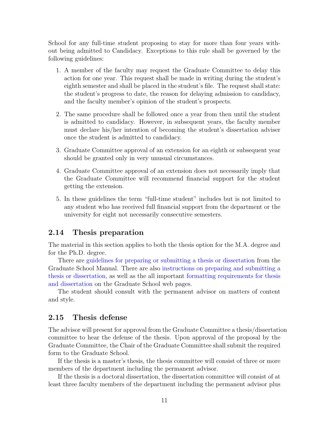School for any full-time student proposing to stay for more than four years without being admitted to Candidacy. Exceptions to this rule shall be governed by the following guidelines:

- 1. A member of the faculty may request the Graduate Committee to delay this action for one year. This request shall be made in writing during the student's eighth semester and shall be placed in the student's file. The request shall state: the student's progress to date, the reason for delaying admission to candidacy, and the faculty member's opinion of the student's prospects.
- 2. The same procedure shall be followed once a year from then until the student is admitted to candidacy. However, in subsequent years, the faculty member must declare his/her intention of becoming the student's dissertation adviser once the student is admitted to candidacy.
- 3. Graduate Committee approval of an extension for an eighth or subsequent year should be granted only in very unusual circumstances.
- 4. Graduate Committee approval of an extension does not necessarily imply that the Graduate Committee will recommend financial support for the student getting the extension.
- 5. In these guidelines the term "full-time student" includes but is not limited to any student who has received full financial support from the department or the university for eight not necessarily consecutive semesters.

### <span id="page-11-0"></span>2.14 Thesis preparation

The material in this section applies to both the thesis option for the M.A. degree and for the Ph.D. degree.

There are [guidelines for preparing or submitting a thesis or dissertation](http://www2.binghamton.edu/grad-school/manual/thesis-dissertation.html) from the Graduate School Manual. There are also [instructions on preparing and submitting a](http://www2.binghamton.edu/grad-school/new-and-current-students/graduating-students/preparing-submitting-thesis-dissertation.html) [thesis or dissertation,](http://www2.binghamton.edu/grad-school/new-and-current-students/graduating-students/preparing-submitting-thesis-dissertation.html) as well as the all important [formatting requirements for thesis](http://www2.binghamton.edu/grad-school/new-and-current-students/graduating-students/formatting-requirements.html) [and dissertation](http://www2.binghamton.edu/grad-school/new-and-current-students/graduating-students/formatting-requirements.html) on the Graduate School web pages.

The student should consult with the permanent advisor on matters of content and style.

### <span id="page-11-1"></span>2.15 Thesis defense

The advisor will present for approval from the Graduate Committee a thesis/dissertation committee to hear the defense of the thesis. Upon approval of the proposal by the Graduate Committee, the Chair of the Graduate Committee shall submit the required form to the Graduate School.

If the thesis is a master's thesis, the thesis committee will consist of three or more members of the department including the permanent advisor.

If the thesis is a doctoral dissertation, the dissertation committee will consist of at least three faculty members of the department including the permanent advisor plus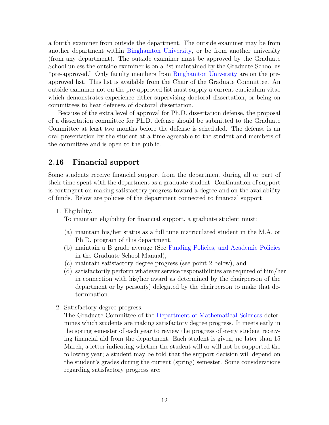a fourth examiner from outside the department. The outside examiner may be from another department within [Binghamton University,](http://www.binghamton.edu) or be from another university (from any department). The outside examiner must be approved by the Graduate School unless the outside examiner is on a list maintained by the Graduate School as "pre-approved." Only faculty members from [Binghamton University](http://www.binghamton.edu) are on the preapproved list. This list is available from the Chair of the Graduate Committee. An outside examiner not on the pre-approved list must supply a current curriculum vitae which demonstrates experience either supervising doctoral dissertation, or being on committees to hear defenses of doctoral dissertation.

Because of the extra level of approval for Ph.D. dissertation defense, the proposal of a dissertation committee for Ph.D. defense should be submitted to the Graduate Committee at least two months before the defense is scheduled. The defense is an oral presentation by the student at a time agreeable to the student and members of the committee and is open to the public.

# <span id="page-12-0"></span>2.16 Financial support

Some students receive financial support from the department during all or part of their time spent with the department as a graduate student. Continuation of support is contingent on making satisfactory progress toward a degree and on the availability of funds. Below are policies of the department connected to financial support.

1. Eligibility.

To maintain eligibility for financial support, a graduate student must:

- (a) maintain his/her status as a full time matriculated student in the M.A. or Ph.D. program of this department,
- (b) maintain a B grade average (See [Funding Policies, and Academic Policies](http://www2.binghamton.edu/grad-school/manual/index.html#funding-policies-and-guidelines) in the Graduate School Manual),
- (c) maintain satisfactory degree progress (see point 2 below), and
- (d) satisfactorily perform whatever service responsibilities are required of him/her in connection with his/her award as determined by the chairperson of the department or by person(s) delegated by the chairperson to make that determination.
- 2. Satisfactory degree progress.

The Graduate Committee of the [Department of Mathematical Sciences](http://www.math.binghamton.edu) determines which students are making satisfactory degree progress. It meets early in the spring semester of each year to review the progress of every student receiving financial aid from the department. Each student is given, no later than 15 March, a letter indicating whether the student will or will not be supported the following year; a student may be told that the support decision will depend on the student's grades during the current (spring) semester. Some considerations regarding satisfactory progress are: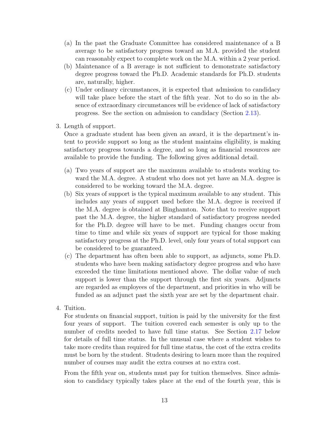- (a) In the past the Graduate Committee has considered maintenance of a B average to be satisfactory progress toward an M.A. provided the student can reasonably expect to complete work on the M.A. within a 2 year period.
- (b) Maintenance of a B average is not sufficient to demonstrate satisfactory degree progress toward the Ph.D. Academic standards for Ph.D. students are, naturally, higher.
- (c) Under ordinary circumstances, it is expected that admission to candidacy will take place before the start of the fifth year. Not to do so in the absence of extraordinary circumstances will be evidence of lack of satisfactory progress. See the section on admission to candidacy (Section [2.13\)](#page-9-0).
- 3. Length of support.

Once a graduate student has been given an award, it is the department's intent to provide support so long as the student maintains eligibility, is making satisfactory progress towards a degree, and so long as financial resources are available to provide the funding. The following gives additional detail.

- (a) Two years of support are the maximum available to students working toward the M.A. degree. A student who does not yet have an M.A. degree is considered to be working toward the M.A. degree.
- (b) Six years of support is the typical maximum available to any student. This includes any years of support used before the M.A. degree is received if the M.A. degree is obtained at Binghamton. Note that to receive support past the M.A. degree, the higher standard of satisfactory progress needed for the Ph.D. degree will have to be met. Funding changes occur from time to time and while six years of support are typical for those making satisfactory progress at the Ph.D. level, only four years of total support can be considered to be guaranteed.
- (c) The department has often been able to support, as adjuncts, some Ph.D. students who have been making satisfactory degree progress and who have exceeded the time limitations mentioned above. The dollar value of such support is lower than the support through the first six years. Adjuncts are regarded as employees of the department, and priorities in who will be funded as an adjunct past the sixth year are set by the department chair.
- 4. Tuition.

For students on financial support, tuition is paid by the university for the first four years of support. The tuition covered each semester is only up to the number of credits needed to have full time status. See Section [2.17](#page-14-0) below for details of full time status. In the unusual case where a student wishes to take more credits than required for full time status, the cost of the extra credits must be born by the student. Students desiring to learn more than the required number of courses may audit the extra courses at no extra cost.

From the fifth year on, students must pay for tuition themselves. Since admission to candidacy typically takes place at the end of the fourth year, this is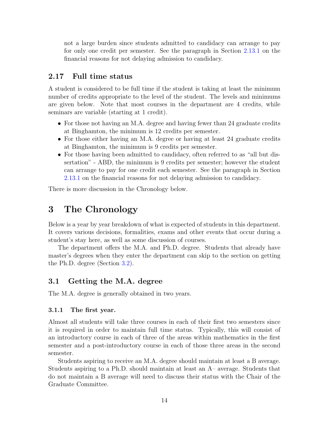not a large burden since students admitted to candidacy can arrange to pay for only one credit per semester. See the paragraph in Section [2.13.1](#page-9-2) on the financial reasons for not delaying admission to candidacy.

### <span id="page-14-0"></span>2.17 Full time status

A student is considered to be full time if the student is taking at least the minimum number of credits appropriate to the level of the student. The levels and minimums are given below. Note that most courses in the department are 4 credits, while seminars are variable (starting at 1 credit).

- For those not having an M.A. degree and having fewer than 24 graduate credits at Binghamton, the minimum is 12 credits per semester.
- For those either having an M.A. degree or having at least 24 graduate credits at Binghamton, the minimum is 9 credits per semester.
- For those having been admitted to candidacy, often referred to as "all but dissertation" - ABD, the minimum is 9 credits per semester; however the student can arrange to pay for one credit each semester. See the paragraph in Section [2.13.1](#page-9-2) on the financial reasons for not delaying admission to candidacy.

There is more discussion in the Chronology below.

# <span id="page-14-1"></span>3 The Chronology

Below is a year by year breakdown of what is expected of students in this department. It covers various decisions, formalities, exams and other events that occur during a student's stay here, as well as some discussion of courses.

The department offers the M.A. and Ph.D. degree. Students that already have master's degrees when they enter the department can skip to the section on getting the Ph.D. degree (Section [3.2\)](#page-15-1).

# <span id="page-14-2"></span>3.1 Getting the M.A. degree

The M.A. degree is generally obtained in two years.

#### <span id="page-14-3"></span>3.1.1 The first year.

Almost all students will take three courses in each of their first two semesters since it is required in order to maintain full time status. Typically, this will consist of an introductory course in each of three of the areas within mathematics in the first semester and a post-introductory course in each of those three areas in the second semester.

Students aspiring to receive an M.A. degree should maintain at least a B average. Students aspiring to a Ph.D. should maintain at least an A– average. Students that do not maintain a B average will need to discuss their status with the Chair of the Graduate Committee.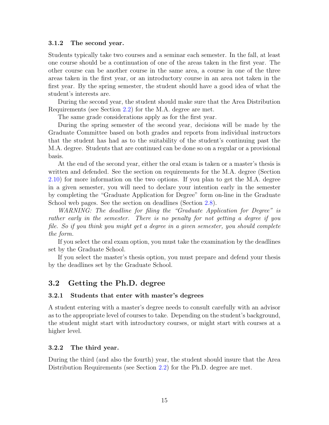#### <span id="page-15-0"></span>3.1.2 The second year.

Students typically take two courses and a seminar each semester. In the fall, at least one course should be a continuation of one of the areas taken in the first year. The other course can be another course in the same area, a course in one of the three areas taken in the first year, or an introductory course in an area not taken in the first year. By the spring semester, the student should have a good idea of what the student's interests are.

During the second year, the student should make sure that the Area Distribution Requirements (see Section [2.2\)](#page-3-0) for the M.A. degree are met.

The same grade considerations apply as for the first year.

During the spring semester of the second year, decisions will be made by the Graduate Committee based on both grades and reports from individual instructors that the student has had as to the suitability of the student's continuing past the M.A. degree. Students that are continued can be done so on a regular or a provisional basis.

At the end of the second year, either the oral exam is taken or a master's thesis is written and defended. See the section on requirements for the M.A. degree (Section [2.10\)](#page-6-2) for more information on the two options. If you plan to get the M.A. degree in a given semester, you will need to declare your intention early in the semester by completing the "Graduate Application for Degree" form on-line in the Graduate School web pages. See the section on deadlines (Section [2.8\)](#page-6-0).

WARNING: The deadline for filing the "Graduate Application for Degree" is rather early in the semester. There is no penalty for not getting a degree if you file. So if you think you might get a degree in a given semester, you should complete the form.

If you select the oral exam option, you must take the examination by the deadlines set by the Graduate School.

If you select the master's thesis option, you must prepare and defend your thesis by the deadlines set by the Graduate School.

# <span id="page-15-1"></span>3.2 Getting the Ph.D. degree

#### <span id="page-15-2"></span>3.2.1 Students that enter with master's degrees

A student entering with a master's degree needs to consult carefully with an advisor as to the appropriate level of courses to take. Depending on the student's background, the student might start with introductory courses, or might start with courses at a higher level.

#### <span id="page-15-3"></span>3.2.2 The third year.

During the third (and also the fourth) year, the student should insure that the Area Distribution Requirements (see Section [2.2\)](#page-3-0) for the Ph.D. degree are met.